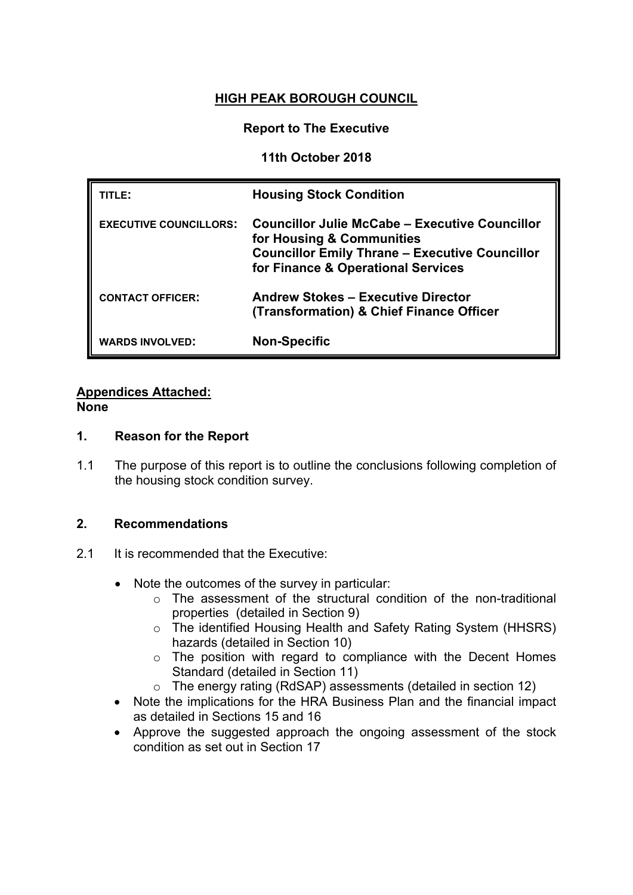# **HIGH PEAK BOROUGH COUNCIL**

### **Report to The Executive**

### **11th October 2018**

| TITLE:                        | <b>Housing Stock Condition</b>                                                                                                                                                    |
|-------------------------------|-----------------------------------------------------------------------------------------------------------------------------------------------------------------------------------|
| <b>EXECUTIVE COUNCILLORS:</b> | <b>Councillor Julie McCabe - Executive Councillor</b><br>for Housing & Communities<br><b>Councillor Emily Thrane - Executive Councillor</b><br>for Finance & Operational Services |
| <b>CONTACT OFFICER:</b>       | <b>Andrew Stokes - Executive Director</b><br>(Transformation) & Chief Finance Officer                                                                                             |
| <b>WARDS INVOLVED:</b>        | <b>Non-Specific</b>                                                                                                                                                               |

# **Appendices Attached:**

#### **None**

### **1. Reason for the Report**

1.1 The purpose of this report is to outline the conclusions following completion of the housing stock condition survey.

# **2. Recommendations**

- 2.1 It is recommended that the Executive:
	- Note the outcomes of the survey in particular:
		- o The assessment of the structural condition of the non-traditional properties (detailed in Section 9)
		- o The identified Housing Health and Safety Rating System (HHSRS) hazards (detailed in Section 10)
		- o The position with regard to compliance with the Decent Homes Standard (detailed in Section 11)
		- o The energy rating (RdSAP) assessments (detailed in section 12)
	- Note the implications for the HRA Business Plan and the financial impact as detailed in Sections 15 and 16
	- Approve the suggested approach the ongoing assessment of the stock condition as set out in Section 17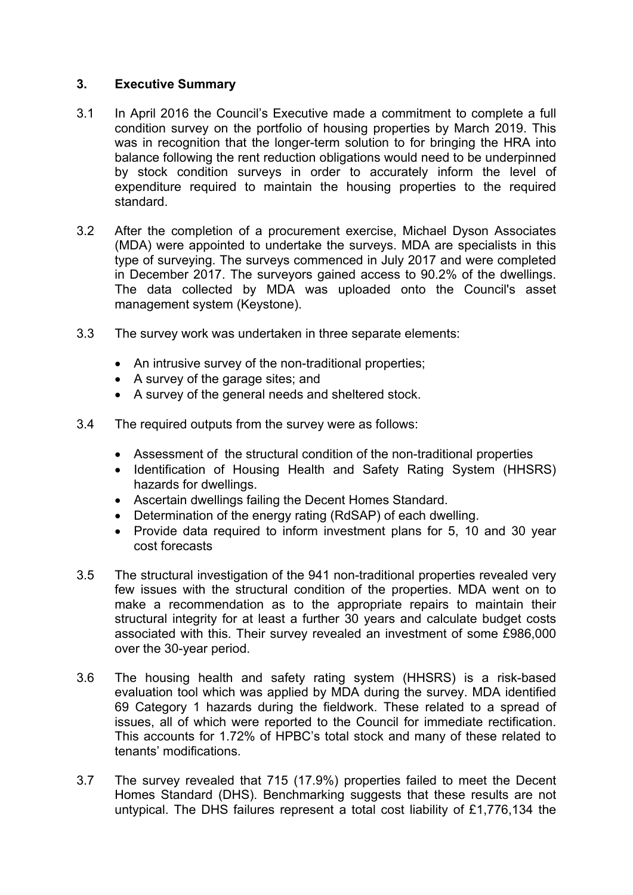### **3. Executive Summary**

- 3.1 In April 2016 the Council's Executive made a commitment to complete a full condition survey on the portfolio of housing properties by March 2019. This was in recognition that the longer-term solution to for bringing the HRA into balance following the rent reduction obligations would need to be underpinned by stock condition surveys in order to accurately inform the level of expenditure required to maintain the housing properties to the required standard.
- 3.2 After the completion of a procurement exercise, Michael Dyson Associates (MDA) were appointed to undertake the surveys. MDA are specialists in this type of surveying. The surveys commenced in July 2017 and were completed in December 2017. The surveyors gained access to 90.2% of the dwellings. The data collected by MDA was uploaded onto the Council's asset management system (Keystone).
- 3.3 The survey work was undertaken in three separate elements:
	- An intrusive survey of the non-traditional properties;
	- A survey of the garage sites; and
	- A survey of the general needs and sheltered stock.
- 3.4 The required outputs from the survey were as follows:
	- Assessment of the structural condition of the non-traditional properties
	- Identification of Housing Health and Safety Rating System (HHSRS) hazards for dwellings.
	- Ascertain dwellings failing the Decent Homes Standard.
	- Determination of the energy rating (RdSAP) of each dwelling.
	- Provide data required to inform investment plans for 5, 10 and 30 year cost forecasts
- 3.5 The structural investigation of the 941 non-traditional properties revealed very few issues with the structural condition of the properties. MDA went on to make a recommendation as to the appropriate repairs to maintain their structural integrity for at least a further 30 years and calculate budget costs associated with this. Their survey revealed an investment of some £986,000 over the 30-year period.
- 3.6 The housing health and safety rating system (HHSRS) is a risk-based evaluation tool which was applied by MDA during the survey. MDA identified 69 Category 1 hazards during the fieldwork. These related to a spread of issues, all of which were reported to the Council for immediate rectification. This accounts for 1.72% of HPBC's total stock and many of these related to tenants' modifications.
- 3.7 The survey revealed that 715 (17.9%) properties failed to meet the Decent Homes Standard (DHS). Benchmarking suggests that these results are not untypical. The DHS failures represent a total cost liability of £1,776,134 the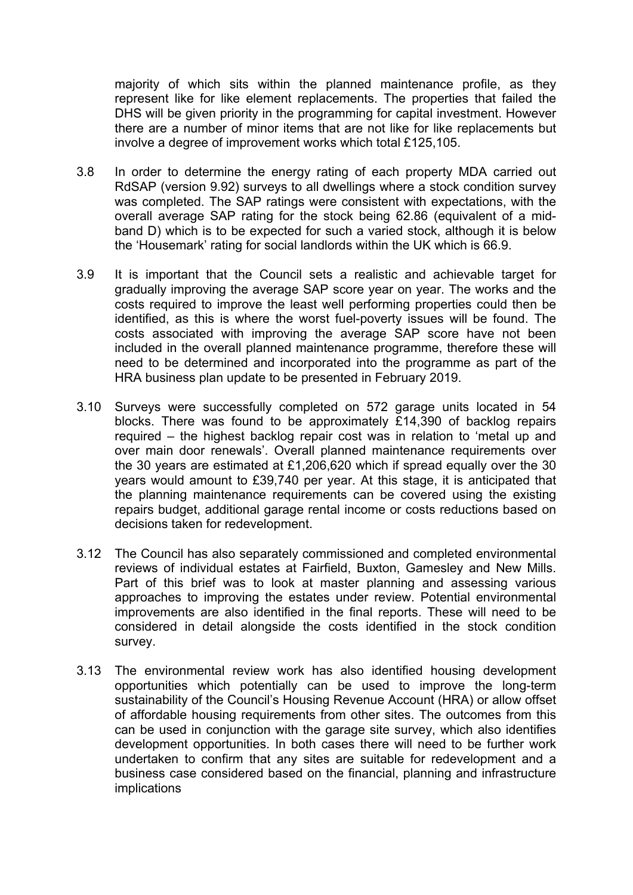majority of which sits within the planned maintenance profile, as they represent like for like element replacements. The properties that failed the DHS will be given priority in the programming for capital investment. However there are a number of minor items that are not like for like replacements but involve a degree of improvement works which total £125,105.

- 3.8 In order to determine the energy rating of each property MDA carried out RdSAP (version 9.92) surveys to all dwellings where a stock condition survey was completed. The SAP ratings were consistent with expectations, with the overall average SAP rating for the stock being 62.86 (equivalent of a midband D) which is to be expected for such a varied stock, although it is below the 'Housemark' rating for social landlords within the UK which is 66.9.
- 3.9 It is important that the Council sets a realistic and achievable target for gradually improving the average SAP score year on year. The works and the costs required to improve the least well performing properties could then be identified, as this is where the worst fuel-poverty issues will be found. The costs associated with improving the average SAP score have not been included in the overall planned maintenance programme, therefore these will need to be determined and incorporated into the programme as part of the HRA business plan update to be presented in February 2019.
- 3.10 Surveys were successfully completed on 572 garage units located in 54 blocks. There was found to be approximately £14,390 of backlog repairs required – the highest backlog repair cost was in relation to 'metal up and over main door renewals'. Overall planned maintenance requirements over the 30 years are estimated at £1,206,620 which if spread equally over the 30 years would amount to £39,740 per year. At this stage, it is anticipated that the planning maintenance requirements can be covered using the existing repairs budget, additional garage rental income or costs reductions based on decisions taken for redevelopment.
- 3.12 The Council has also separately commissioned and completed environmental reviews of individual estates at Fairfield, Buxton, Gamesley and New Mills. Part of this brief was to look at master planning and assessing various approaches to improving the estates under review. Potential environmental improvements are also identified in the final reports. These will need to be considered in detail alongside the costs identified in the stock condition survey.
- 3.13 The environmental review work has also identified housing development opportunities which potentially can be used to improve the long-term sustainability of the Council's Housing Revenue Account (HRA) or allow offset of affordable housing requirements from other sites. The outcomes from this can be used in conjunction with the garage site survey, which also identifies development opportunities. In both cases there will need to be further work undertaken to confirm that any sites are suitable for redevelopment and a business case considered based on the financial, planning and infrastructure implications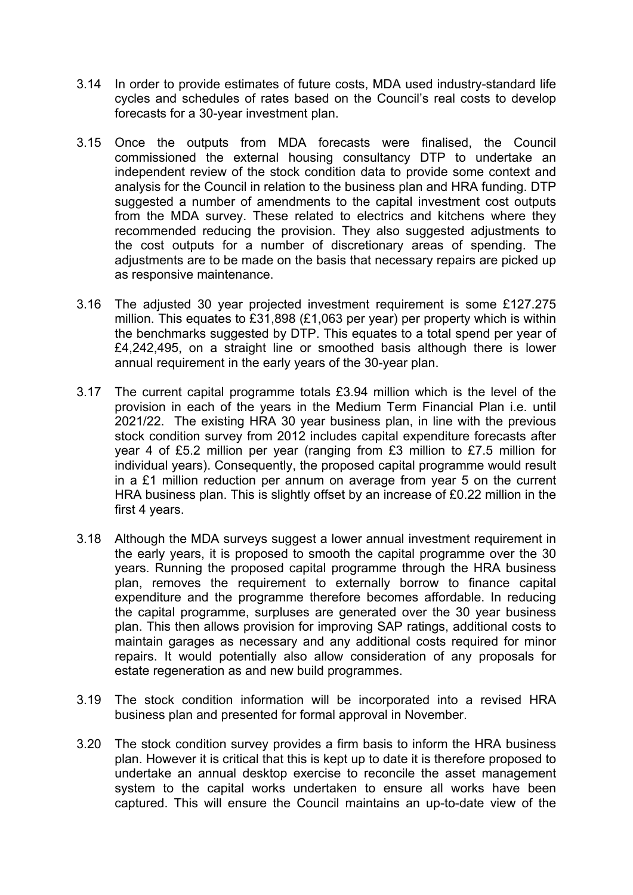- 3.14 In order to provide estimates of future costs, MDA used industry-standard life cycles and schedules of rates based on the Council's real costs to develop forecasts for a 30-year investment plan.
- 3.15 Once the outputs from MDA forecasts were finalised, the Council commissioned the external housing consultancy DTP to undertake an independent review of the stock condition data to provide some context and analysis for the Council in relation to the business plan and HRA funding. DTP suggested a number of amendments to the capital investment cost outputs from the MDA survey. These related to electrics and kitchens where they recommended reducing the provision. They also suggested adjustments to the cost outputs for a number of discretionary areas of spending. The adjustments are to be made on the basis that necessary repairs are picked up as responsive maintenance.
- 3.16 The adjusted 30 year projected investment requirement is some £127.275 million. This equates to £31,898 (£1,063 per year) per property which is within the benchmarks suggested by DTP. This equates to a total spend per year of £4,242,495, on a straight line or smoothed basis although there is lower annual requirement in the early years of the 30-year plan.
- 3.17 The current capital programme totals £3.94 million which is the level of the provision in each of the years in the Medium Term Financial Plan i.e. until 2021/22. The existing HRA 30 year business plan, in line with the previous stock condition survey from 2012 includes capital expenditure forecasts after year 4 of £5.2 million per year (ranging from £3 million to £7.5 million for individual years). Consequently, the proposed capital programme would result in a £1 million reduction per annum on average from year 5 on the current HRA business plan. This is slightly offset by an increase of £0.22 million in the first 4 years.
- 3.18 Although the MDA surveys suggest a lower annual investment requirement in the early years, it is proposed to smooth the capital programme over the 30 years. Running the proposed capital programme through the HRA business plan, removes the requirement to externally borrow to finance capital expenditure and the programme therefore becomes affordable. In reducing the capital programme, surpluses are generated over the 30 year business plan. This then allows provision for improving SAP ratings, additional costs to maintain garages as necessary and any additional costs required for minor repairs. It would potentially also allow consideration of any proposals for estate regeneration as and new build programmes.
- 3.19 The stock condition information will be incorporated into a revised HRA business plan and presented for formal approval in November.
- 3.20 The stock condition survey provides a firm basis to inform the HRA business plan. However it is critical that this is kept up to date it is therefore proposed to undertake an annual desktop exercise to reconcile the asset management system to the capital works undertaken to ensure all works have been captured. This will ensure the Council maintains an up-to-date view of the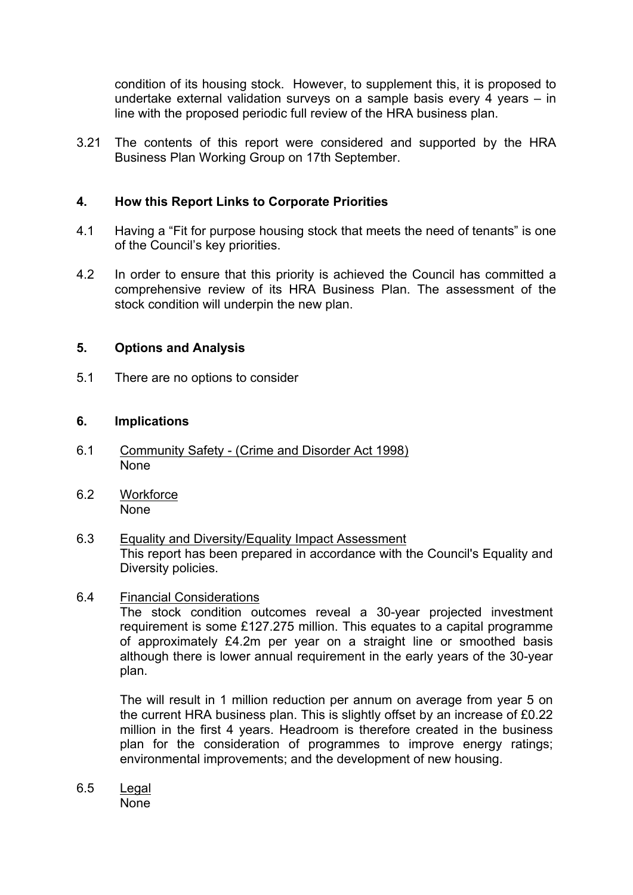condition of its housing stock. However, to supplement this, it is proposed to undertake external validation surveys on a sample basis every 4 years – in line with the proposed periodic full review of the HRA business plan.

3.21 The contents of this report were considered and supported by the HRA Business Plan Working Group on 17th September.

### **4. How this Report Links to Corporate Priorities**

- 4.1 Having a "Fit for purpose housing stock that meets the need of tenants" is one of the Council's key priorities.
- 4.2 In order to ensure that this priority is achieved the Council has committed a comprehensive review of its HRA Business Plan. The assessment of the stock condition will underpin the new plan.

### **5. Options and Analysis**

5.1 There are no options to consider

### **6. Implications**

- 6.1 Community Safety (Crime and Disorder Act 1998) None
- 6.2 Workforce None
- 6.3 Equality and Diversity/Equality Impact Assessment This report has been prepared in accordance with the Council's Equality and Diversity policies.

### 6.4 Financial Considerations

The stock condition outcomes reveal a 30-year projected investment requirement is some £127.275 million. This equates to a capital programme of approximately £4.2m per year on a straight line or smoothed basis although there is lower annual requirement in the early years of the 30-year plan.

The will result in 1 million reduction per annum on average from year 5 on the current HRA business plan. This is slightly offset by an increase of £0.22 million in the first 4 years. Headroom is therefore created in the business plan for the consideration of programmes to improve energy ratings; environmental improvements; and the development of new housing.

6.5 Legal None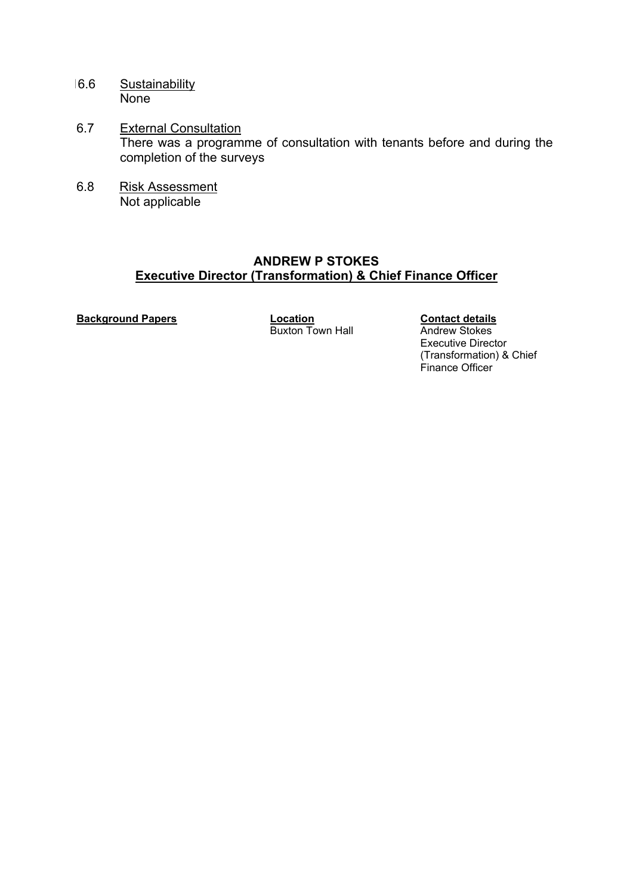- 16.6 Sustainability **None**
- 6.7 External Consultation There was a programme of consultation with tenants before and during the completion of the surveys
- 6.8 Risk Assessment Not applicable

# **ANDREW P STOKES Executive Director (Transformation) & Chief Finance Officer**

**Background Papers**<br> **Buxton Town Hall**<br>
Buxton Town Hall **Andrew Stokes** Buxton Town Hall

Executive Director (Transformation) & Chief Finance Officer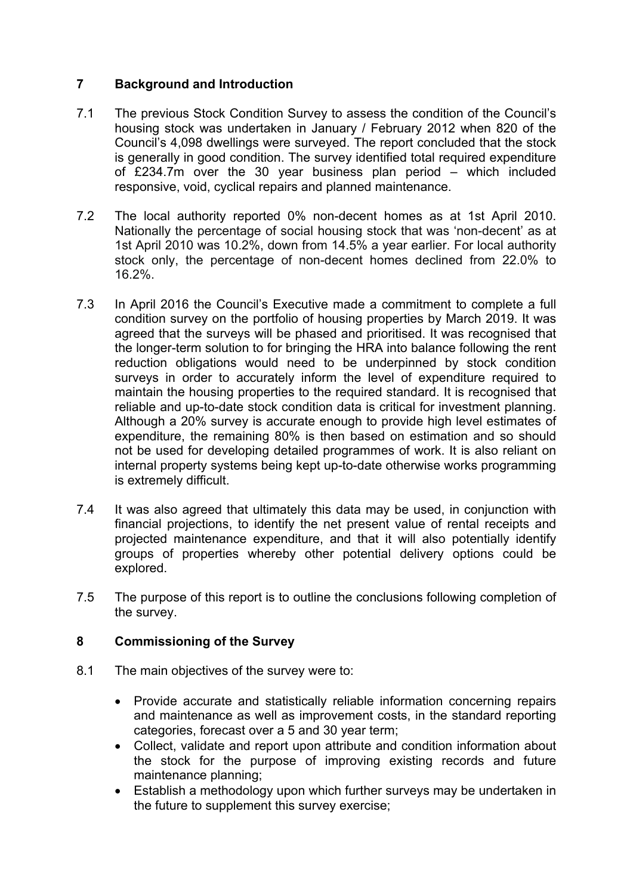# **7 Background and Introduction**

- 7.1 The previous Stock Condition Survey to assess the condition of the Council's housing stock was undertaken in January / February 2012 when 820 of the Council's 4,098 dwellings were surveyed. The report concluded that the stock is generally in good condition. The survey identified total required expenditure of £234.7m over the 30 year business plan period – which included responsive, void, cyclical repairs and planned maintenance.
- 7.2 The local authority reported 0% non-decent homes as at 1st April 2010. Nationally the percentage of social housing stock that was 'non-decent' as at 1st April 2010 was 10.2%, down from 14.5% a year earlier. For local authority stock only, the percentage of non-decent homes declined from 22.0% to 16.2%.
- 7.3 In April 2016 the Council's Executive made a commitment to complete a full condition survey on the portfolio of housing properties by March 2019. It was agreed that the surveys will be phased and prioritised. It was recognised that the longer-term solution to for bringing the HRA into balance following the rent reduction obligations would need to be underpinned by stock condition surveys in order to accurately inform the level of expenditure required to maintain the housing properties to the required standard. It is recognised that reliable and up-to-date stock condition data is critical for investment planning. Although a 20% survey is accurate enough to provide high level estimates of expenditure, the remaining 80% is then based on estimation and so should not be used for developing detailed programmes of work. It is also reliant on internal property systems being kept up-to-date otherwise works programming is extremely difficult.
- 7.4 It was also agreed that ultimately this data may be used, in conjunction with financial projections, to identify the net present value of rental receipts and projected maintenance expenditure, and that it will also potentially identify groups of properties whereby other potential delivery options could be explored.
- 7.5 The purpose of this report is to outline the conclusions following completion of the survey.

# **8 Commissioning of the Survey**

- 8.1 The main objectives of the survey were to:
	- Provide accurate and statistically reliable information concerning repairs and maintenance as well as improvement costs, in the standard reporting categories, forecast over a 5 and 30 year term;
	- Collect, validate and report upon attribute and condition information about the stock for the purpose of improving existing records and future maintenance planning;
	- Establish a methodology upon which further surveys may be undertaken in the future to supplement this survey exercise;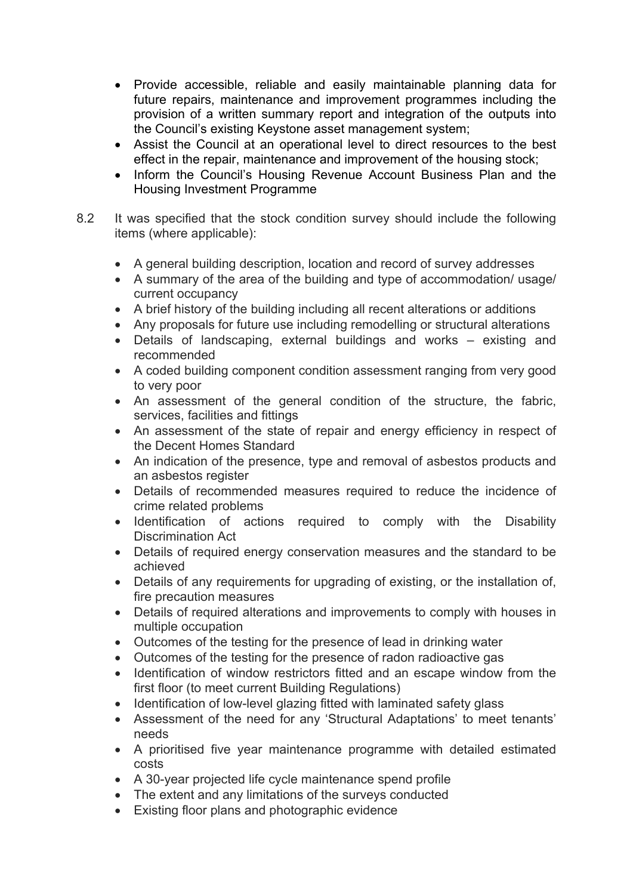- Provide accessible, reliable and easily maintainable planning data for future repairs, maintenance and improvement programmes including the provision of a written summary report and integration of the outputs into the Council's existing Keystone asset management system;
- Assist the Council at an operational level to direct resources to the best effect in the repair, maintenance and improvement of the housing stock;
- Inform the Council's Housing Revenue Account Business Plan and the Housing Investment Programme
- 8.2 It was specified that the stock condition survey should include the following items (where applicable):
	- A general building description, location and record of survey addresses
	- A summary of the area of the building and type of accommodation/ usage/ current occupancy
	- A brief history of the building including all recent alterations or additions
	- Any proposals for future use including remodelling or structural alterations
	- Details of landscaping, external buildings and works existing and recommended
	- A coded building component condition assessment ranging from very good to very poor
	- An assessment of the general condition of the structure, the fabric, services, facilities and fittings
	- An assessment of the state of repair and energy efficiency in respect of the Decent Homes Standard
	- An indication of the presence, type and removal of asbestos products and an asbestos register
	- Details of recommended measures required to reduce the incidence of crime related problems
	- Identification of actions required to comply with the Disability Discrimination Act
	- Details of required energy conservation measures and the standard to be achieved
	- Details of any requirements for upgrading of existing, or the installation of, fire precaution measures
	- Details of required alterations and improvements to comply with houses in multiple occupation
	- Outcomes of the testing for the presence of lead in drinking water
	- Outcomes of the testing for the presence of radon radioactive gas
	- Identification of window restrictors fitted and an escape window from the first floor (to meet current Building Regulations)
	- Identification of low-level glazing fitted with laminated safety glass
	- Assessment of the need for any 'Structural Adaptations' to meet tenants' needs
	- A prioritised five year maintenance programme with detailed estimated costs
	- A 30-year projected life cycle maintenance spend profile
	- The extent and any limitations of the surveys conducted
	- Existing floor plans and photographic evidence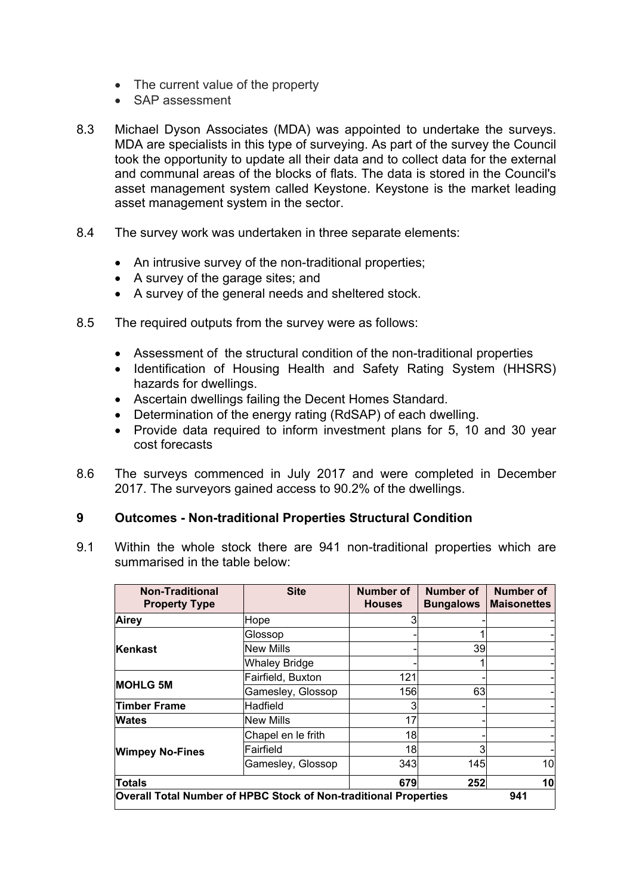- The current value of the property
- SAP assessment
- 8.3 Michael Dyson Associates (MDA) was appointed to undertake the surveys. MDA are specialists in this type of surveying. As part of the survey the Council took the opportunity to update all their data and to collect data for the external and communal areas of the blocks of flats. The data is stored in the Council's asset management system called Keystone. Keystone is the market leading asset management system in the sector.
- 8.4 The survey work was undertaken in three separate elements:
	- An intrusive survey of the non-traditional properties;
	- A survey of the garage sites; and
	- A survey of the general needs and sheltered stock.
- 8.5 The required outputs from the survey were as follows:
	- Assessment of the structural condition of the non-traditional properties
	- Identification of Housing Health and Safety Rating System (HHSRS) hazards for dwellings.
	- Ascertain dwellings failing the Decent Homes Standard.
	- Determination of the energy rating (RdSAP) of each dwelling.
	- Provide data required to inform investment plans for 5, 10 and 30 year cost forecasts
- 8.6 The surveys commenced in July 2017 and were completed in December 2017. The surveyors gained access to 90.2% of the dwellings.

#### **9 Outcomes - Non-traditional Properties Structural Condition**

9.1 Within the whole stock there are 941 non-traditional properties which are summarised in the table below:

| <b>Non-Traditional</b><br><b>Property Type</b>                          | <b>Site</b>          | Number of<br><b>Houses</b> | <b>Number of</b><br><b>Bungalows</b> | <b>Number of</b><br><b>Maisonettes</b> |
|-------------------------------------------------------------------------|----------------------|----------------------------|--------------------------------------|----------------------------------------|
| Airey                                                                   | Hope                 |                            |                                      |                                        |
|                                                                         | Glossop              |                            |                                      |                                        |
| Kenkast                                                                 | New Mills            |                            | 39                                   |                                        |
|                                                                         | <b>Whaley Bridge</b> |                            |                                      |                                        |
|                                                                         | Fairfield, Buxton    | 121                        |                                      |                                        |
| <b>MOHLG 5M</b>                                                         | Gamesley, Glossop    | 156                        | 63                                   |                                        |
| Timber Frame                                                            | <b>Hadfield</b>      |                            |                                      |                                        |
| Wates                                                                   | New Mills            | 17                         |                                      |                                        |
|                                                                         | Chapel en le frith   | 18                         |                                      |                                        |
| <b>Wimpey No-Fines</b>                                                  | Fairfield            | 18                         | 3                                    |                                        |
|                                                                         | Gamesley, Glossop    | 343                        | 145                                  | 10                                     |
| Totals                                                                  |                      | 679                        | 252                                  | 10                                     |
| Overall Total Number of HPBC Stock of Non-traditional Properties<br>941 |                      |                            |                                      |                                        |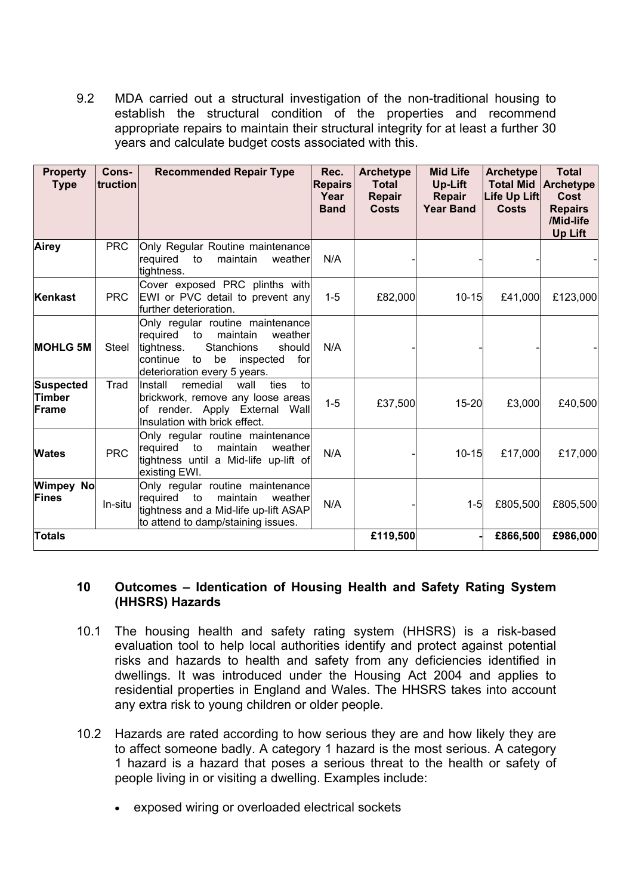9.2 MDA carried out a structural investigation of the non-traditional housing to establish the structural condition of the properties and recommend appropriate repairs to maintain their structural integrity for at least a further 30 years and calculate budget costs associated with this.

| <b>Property</b><br><b>Type</b> | Cons-<br>truction | <b>Recommended Repair Type</b>                                                                                                                                                              | Rec.<br><b>Repairs</b><br>Year<br><b>Band</b> | <b>Archetype</b><br><b>Total</b><br>Repair<br><b>Costs</b> | <b>Mid Life</b><br>Up-Lift<br><b>Repair</b><br><b>Year Band</b> | <b>Archetype</b><br><b>Total Mid</b><br>Life Up Lift<br><b>Costs</b> | <b>Total</b><br><b>Archetype</b><br><b>Cost</b><br><b>Repairs</b><br>/Mid-life<br>Up Lift |
|--------------------------------|-------------------|---------------------------------------------------------------------------------------------------------------------------------------------------------------------------------------------|-----------------------------------------------|------------------------------------------------------------|-----------------------------------------------------------------|----------------------------------------------------------------------|-------------------------------------------------------------------------------------------|
| Airey                          | <b>PRC</b>        | Only Regular Routine maintenance<br>weather<br>required<br>to<br>maintain<br>tightness.                                                                                                     | N/A                                           |                                                            |                                                                 |                                                                      |                                                                                           |
| Kenkast                        | <b>PRC</b>        | Cover exposed PRC plinths with<br>EWI or PVC detail to prevent any<br>further deterioration.                                                                                                | $1 - 5$                                       | £82,000                                                    | $10 - 15$                                                       | £41,000                                                              | £123,000                                                                                  |
| <b>MOHLG 5M</b>                | Steel             | Only regular routine maintenance<br>required<br>maintain<br>to<br>weather<br>Stanchions<br>tightness.<br>should<br>continue<br>to<br>be<br>for<br>inspected<br>deterioration every 5 years. | N/A                                           |                                                            |                                                                 |                                                                      |                                                                                           |
| Suspected<br>Timber<br>Frame   | Trad              | Install<br>remedial<br>ties<br>wall<br>tol<br>brickwork, remove any loose areas<br>of render. Apply External Wall<br>Insulation with brick effect.                                          | $1 - 5$                                       | £37,500                                                    | 15-20                                                           | £3,000                                                               | £40,500                                                                                   |
| <b>Wates</b>                   | <b>PRC</b>        | Only regular routine maintenance<br>required<br>to<br>maintain<br>weather<br>tightness until a Mid-life up-lift of<br>existing EWI.                                                         | N/A                                           |                                                            | $10 - 15$                                                       | £17,000                                                              | £17,000                                                                                   |
| <b>Wimpey No</b><br>Fines      | In-situ           | Only regular routine maintenance<br>maintain<br>required to<br>weather<br>tightness and a Mid-life up-lift ASAP<br>to attend to damp/staining issues.                                       | N/A                                           |                                                            | $1 - 5$                                                         | £805,500                                                             | £805,500                                                                                  |
| <b>Totals</b>                  |                   |                                                                                                                                                                                             |                                               | £119,500                                                   |                                                                 | £866,500                                                             | £986,000                                                                                  |

### **10 Outcomes – Identication of Housing Health and Safety Rating System (HHSRS) Hazards**

- 10.1 The housing health and safety rating system (HHSRS) is a risk-based evaluation tool to help local authorities identify and protect against potential risks and hazards to health and safety from any deficiencies identified in dwellings. It was introduced under the Housing Act 2004 and applies to residential properties in England and Wales. The HHSRS takes into account any extra risk to young children or older people.
- 10.2 Hazards are rated according to how serious they are and how likely they are to affect someone badly. A category 1 hazard is the most serious. A category 1 hazard is a hazard that poses a serious threat to the health or safety of people living in or visiting a dwelling. Examples include:
	- exposed wiring or overloaded electrical sockets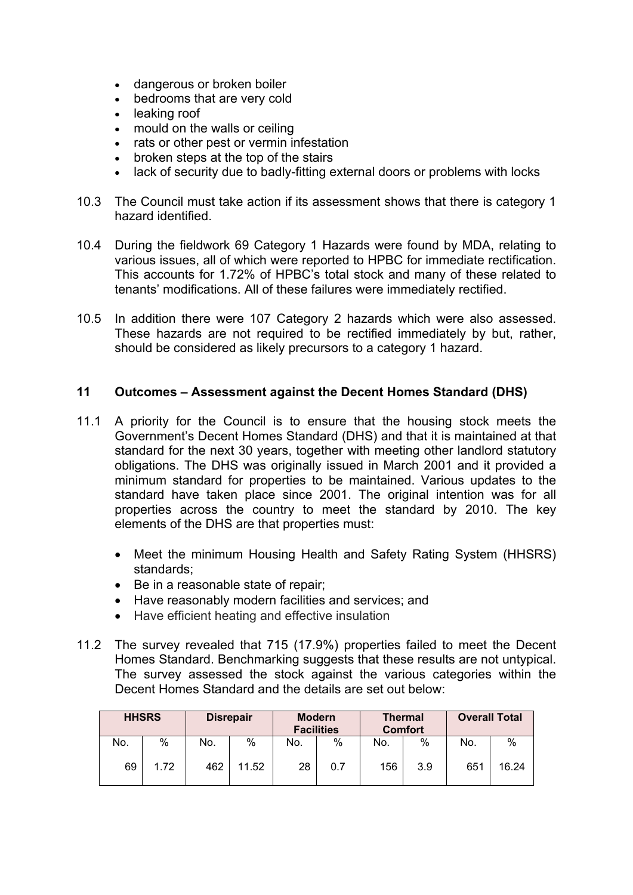- dangerous or broken boiler
- bedrooms that are very cold
- leaking roof
- mould on the walls or ceiling
- rats or other pest or vermin infestation
- broken steps at the top of the stairs
- lack of security due to badly-fitting external doors or problems with locks
- 10.3 The Council must take action if its assessment shows that there is category 1 hazard identified.
- 10.4 During the fieldwork 69 Category 1 Hazards were found by MDA, relating to various issues, all of which were reported to HPBC for immediate rectification. This accounts for 1.72% of HPBC's total stock and many of these related to tenants' modifications. All of these failures were immediately rectified.
- 10.5 In addition there were 107 Category 2 hazards which were also assessed. These hazards are not required to be rectified immediately by but, rather, should be considered as likely precursors to a category 1 hazard.

#### **11 Outcomes – Assessment against the Decent Homes Standard (DHS)**

- 11.1 A priority for the Council is to ensure that the housing stock meets the Government's Decent Homes Standard (DHS) and that it is maintained at that standard for the next 30 years, together with meeting other landlord statutory obligations. The DHS was originally issued in March 2001 and it provided a minimum standard for properties to be maintained. Various updates to the standard have taken place since 2001. The original intention was for all properties across the country to meet the standard by 2010. The key elements of the DHS are that properties must:
	- Meet the minimum Housing Health and Safety Rating System (HHSRS) standards;
	- Be in a reasonable state of repair;
	- Have reasonably modern facilities and services; and
	- Have efficient heating and effective insulation
- 11.2 The survey revealed that 715 (17.9%) properties failed to meet the Decent Homes Standard. Benchmarking suggests that these results are not untypical. The survey assessed the stock against the various categories within the Decent Homes Standard and the details are set out below:

| <b>HHSRS</b> |      |     | <b>Disrepair</b> |     | <b>Modern</b><br><b>Facilities</b> |     | <b>Thermal</b><br><b>Comfort</b> | <b>Overall Total</b> |       |
|--------------|------|-----|------------------|-----|------------------------------------|-----|----------------------------------|----------------------|-------|
| No.          | %    | No. | %                | No. | %                                  | No. | %                                | No.                  | %     |
| 69           | 1.72 | 462 | 11.52            | 28  | 0.7                                | 156 | 3.9                              | 651                  | 16.24 |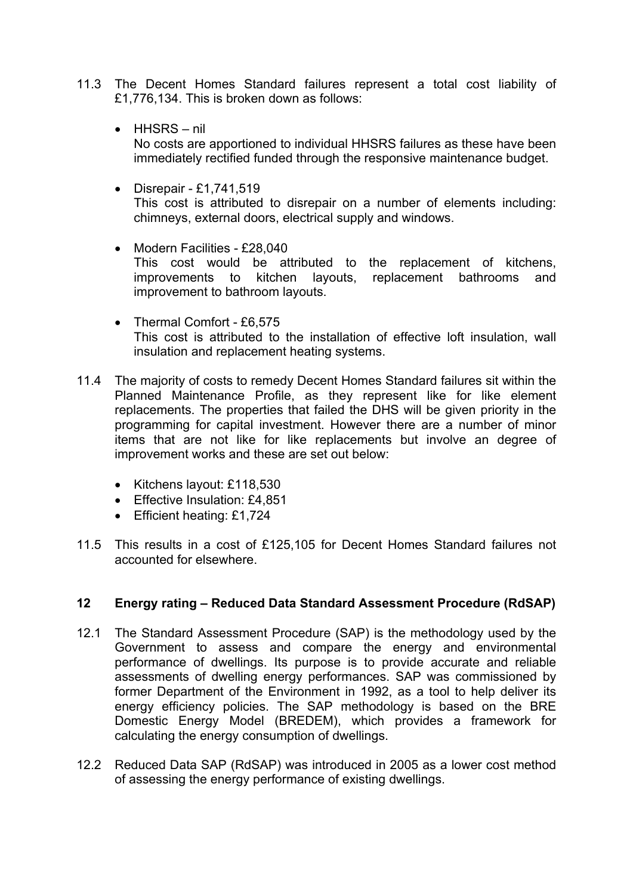- 11.3 The Decent Homes Standard failures represent a total cost liability of £1,776,134. This is broken down as follows:
	- $\bullet$  HHSRS nil No costs are apportioned to individual HHSRS failures as these have been immediately rectified funded through the responsive maintenance budget.
	- $\bullet$  Disrepair £1,741,519 This cost is attributed to disrepair on a number of elements including: chimneys, external doors, electrical supply and windows.
	- Modern Facilities £28,040 This cost would be attributed to the replacement of kitchens, improvements to kitchen layouts, replacement bathrooms and improvement to bathroom layouts.
	- Thermal Comfort £6,575 This cost is attributed to the installation of effective loft insulation, wall insulation and replacement heating systems.
- 11.4 The majority of costs to remedy Decent Homes Standard failures sit within the Planned Maintenance Profile, as they represent like for like element replacements. The properties that failed the DHS will be given priority in the programming for capital investment. However there are a number of minor items that are not like for like replacements but involve an degree of improvement works and these are set out below:
	- Kitchens layout: £118,530
	- Effective Insulation: £4,851
	- **Efficient heating: £1,724**
- 11.5 This results in a cost of £125,105 for Decent Homes Standard failures not accounted for elsewhere.

# **12 Energy rating – Reduced Data Standard Assessment Procedure (RdSAP)**

- 12.1 The Standard Assessment Procedure (SAP) is the methodology used by the Government to assess and compare the energy and environmental performance of dwellings. Its purpose is to provide accurate and reliable assessments of dwelling energy performances. SAP was commissioned by former Department of the Environment in 1992, as a tool to help deliver its energy efficiency policies. The SAP methodology is based on the BRE Domestic Energy Model (BREDEM), which provides a framework for calculating the energy consumption of dwellings.
- 12.2 Reduced Data SAP (RdSAP) was introduced in 2005 as a lower cost method of assessing the energy performance of existing dwellings.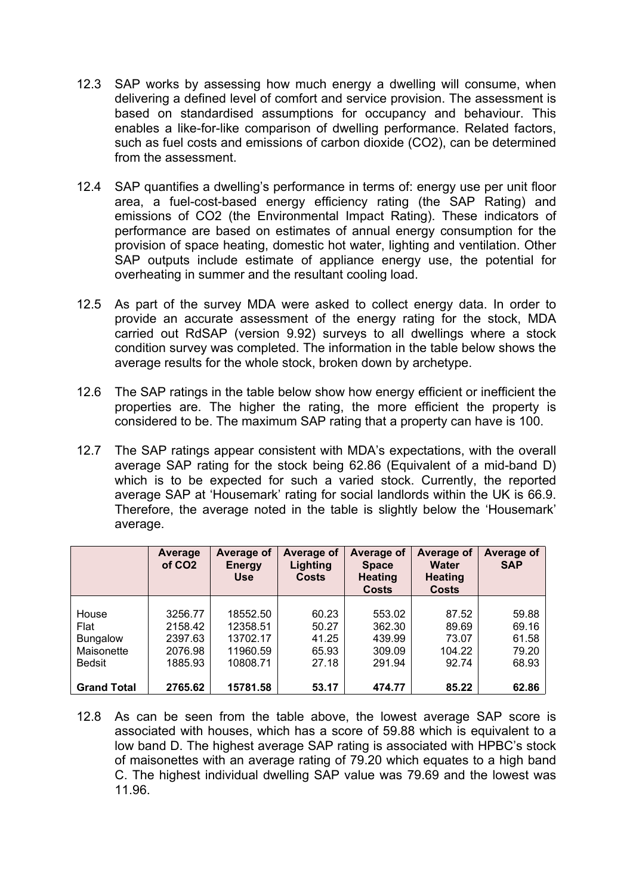- 12.3 SAP works by assessing how much energy a dwelling will consume, when delivering a defined level of comfort and service provision. The assessment is based on standardised assumptions for occupancy and behaviour. This enables a like-for-like comparison of dwelling performance. Related factors, such as fuel costs and emissions of carbon dioxide (CO2), can be determined from the assessment.
- 12.4 SAP quantifies a dwelling's performance in terms of: energy use per unit floor area, a fuel-cost-based energy efficiency rating (the SAP Rating) and emissions of CO2 (the Environmental Impact Rating). These indicators of performance are based on estimates of annual energy consumption for the provision of space heating, domestic hot water, lighting and ventilation. Other SAP outputs include estimate of appliance energy use, the potential for overheating in summer and the resultant cooling load.
- 12.5 As part of the survey MDA were asked to collect energy data. In order to provide an accurate assessment of the energy rating for the stock, MDA carried out RdSAP (version 9.92) surveys to all dwellings where a stock condition survey was completed. The information in the table below shows the average results for the whole stock, broken down by archetype.
- 12.6 The SAP ratings in the table below show how energy efficient or inefficient the properties are. The higher the rating, the more efficient the property is considered to be. The maximum SAP rating that a property can have is 100.
- 12.7 The SAP ratings appear consistent with MDA's expectations, with the overall average SAP rating for the stock being 62.86 (Equivalent of a mid-band D) which is to be expected for such a varied stock. Currently, the reported average SAP at 'Housemark' rating for social landlords within the UK is 66.9. Therefore, the average noted in the table is slightly below the 'Housemark' average.

|                                                                 | Average<br>of CO <sub>2</sub>                       | Average of<br><b>Energy</b><br><b>Use</b>                | Average of<br>Lighting<br><b>Costs</b>    | Average of<br><b>Space</b><br><b>Heating</b><br><b>Costs</b> | Average of<br><b>Water</b><br><b>Heating</b><br><b>Costs</b> | Average of<br><b>SAP</b>                  |
|-----------------------------------------------------------------|-----------------------------------------------------|----------------------------------------------------------|-------------------------------------------|--------------------------------------------------------------|--------------------------------------------------------------|-------------------------------------------|
| House<br>Flat<br><b>Bungalow</b><br>Maisonette<br><b>Bedsit</b> | 3256.77<br>2158.42<br>2397.63<br>2076.98<br>1885.93 | 18552.50<br>12358.51<br>13702.17<br>11960.59<br>10808.71 | 60.23<br>50.27<br>41.25<br>65.93<br>27.18 | 553.02<br>362.30<br>439.99<br>309.09<br>291.94               | 87.52<br>89.69<br>73.07<br>104.22<br>92.74                   | 59.88<br>69.16<br>61.58<br>79.20<br>68.93 |
| <b>Grand Total</b>                                              | 2765.62                                             | 15781.58                                                 | 53.17                                     | 474.77                                                       | 85.22                                                        | 62.86                                     |

12.8 As can be seen from the table above, the lowest average SAP score is associated with houses, which has a score of 59.88 which is equivalent to a low band D. The highest average SAP rating is associated with HPBC's stock of maisonettes with an average rating of 79.20 which equates to a high band C. The highest individual dwelling SAP value was 79.69 and the lowest was 11.96.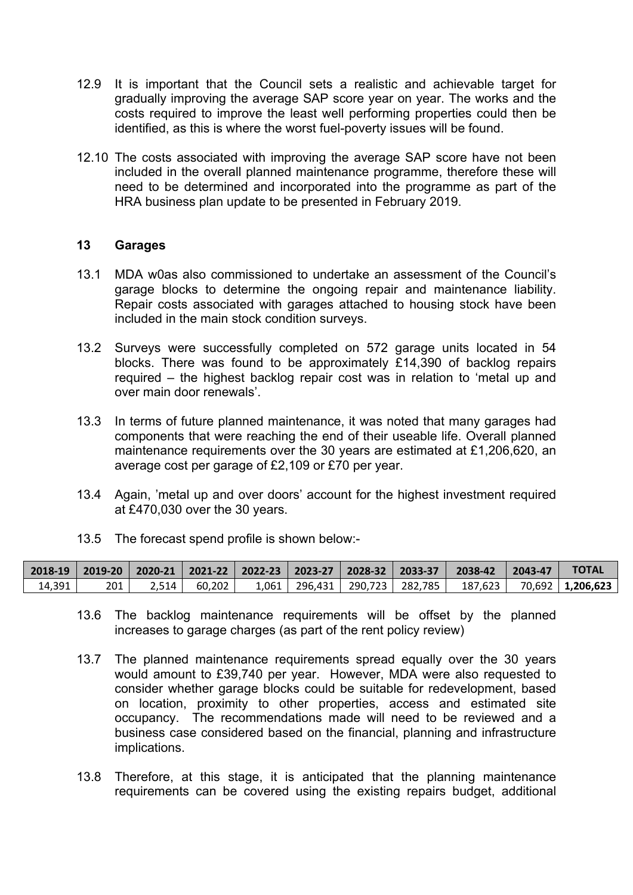- 12.9 It is important that the Council sets a realistic and achievable target for gradually improving the average SAP score year on year. The works and the costs required to improve the least well performing properties could then be identified, as this is where the worst fuel-poverty issues will be found.
- 12.10 The costs associated with improving the average SAP score have not been included in the overall planned maintenance programme, therefore these will need to be determined and incorporated into the programme as part of the HRA business plan update to be presented in February 2019.

#### **13 Garages**

- 13.1 MDA w0as also commissioned to undertake an assessment of the Council's garage blocks to determine the ongoing repair and maintenance liability. Repair costs associated with garages attached to housing stock have been included in the main stock condition surveys.
- 13.2 Surveys were successfully completed on 572 garage units located in 54 blocks. There was found to be approximately £14,390 of backlog repairs required – the highest backlog repair cost was in relation to 'metal up and over main door renewals'.
- 13.3 In terms of future planned maintenance, it was noted that many garages had components that were reaching the end of their useable life. Overall planned maintenance requirements over the 30 years are estimated at £1,206,620, an average cost per garage of £2,109 or £70 per year.
- 13.4 Again, 'metal up and over doors' account for the highest investment required at £470,030 over the 30 years.
- 13.5 The forecast spend profile is shown below:-

|        |     |         |          |  |                                       | 2018-19   2019-20   2020-21   2021-22   2022-23   2023-27   2028-32   2033-37    2038-42    2043-47 | <b>TOTAL</b>                   |
|--------|-----|---------|----------|--|---------------------------------------|-----------------------------------------------------------------------------------------------------|--------------------------------|
| 14,391 | 201 | $2.514$ | $60.202$ |  | $1,061$   296,431   290,723   282,785 |                                                                                                     | $187,623$   70,692   1,206,623 |

- 13.6 The backlog maintenance requirements will be offset by the planned increases to garage charges (as part of the rent policy review)
- 13.7 The planned maintenance requirements spread equally over the 30 years would amount to £39,740 per year. However, MDA were also requested to consider whether garage blocks could be suitable for redevelopment, based on location, proximity to other properties, access and estimated site occupancy. The recommendations made will need to be reviewed and a business case considered based on the financial, planning and infrastructure implications.
- 13.8 Therefore, at this stage, it is anticipated that the planning maintenance requirements can be covered using the existing repairs budget, additional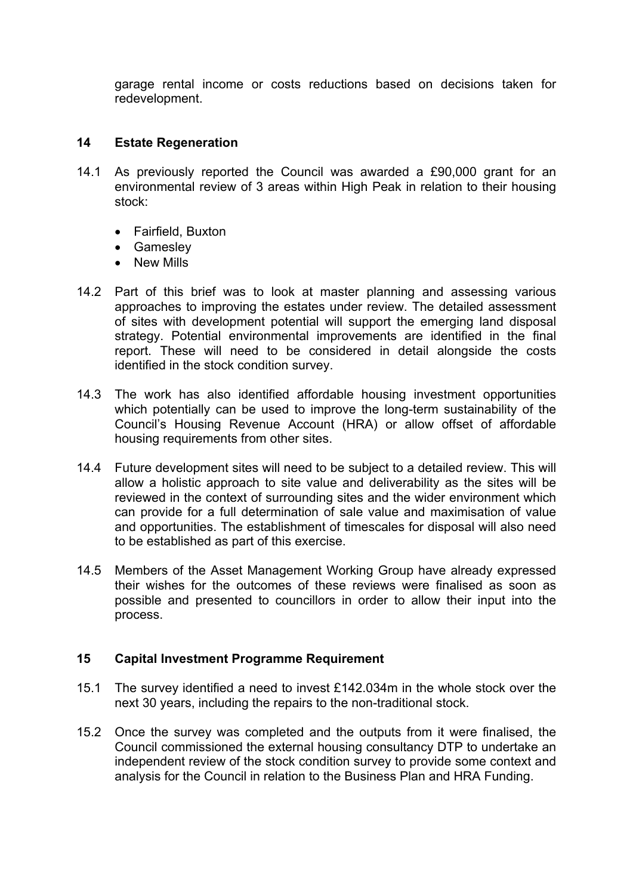garage rental income or costs reductions based on decisions taken for redevelopment.

### **14 Estate Regeneration**

- 14.1 As previously reported the Council was awarded a £90,000 grant for an environmental review of 3 areas within High Peak in relation to their housing stock:
	- Fairfield, Buxton
	- Gamesley
	- New Mills
- 14.2 Part of this brief was to look at master planning and assessing various approaches to improving the estates under review. The detailed assessment of sites with development potential will support the emerging land disposal strategy. Potential environmental improvements are identified in the final report. These will need to be considered in detail alongside the costs identified in the stock condition survey.
- 14.3 The work has also identified affordable housing investment opportunities which potentially can be used to improve the long-term sustainability of the Council's Housing Revenue Account (HRA) or allow offset of affordable housing requirements from other sites.
- 14.4 Future development sites will need to be subject to a detailed review. This will allow a holistic approach to site value and deliverability as the sites will be reviewed in the context of surrounding sites and the wider environment which can provide for a full determination of sale value and maximisation of value and opportunities. The establishment of timescales for disposal will also need to be established as part of this exercise.
- 14.5 Members of the Asset Management Working Group have already expressed their wishes for the outcomes of these reviews were finalised as soon as possible and presented to councillors in order to allow their input into the process.

### **15 Capital Investment Programme Requirement**

- 15.1 The survey identified a need to invest £142.034m in the whole stock over the next 30 years, including the repairs to the non-traditional stock.
- 15.2 Once the survey was completed and the outputs from it were finalised, the Council commissioned the external housing consultancy DTP to undertake an independent review of the stock condition survey to provide some context and analysis for the Council in relation to the Business Plan and HRA Funding.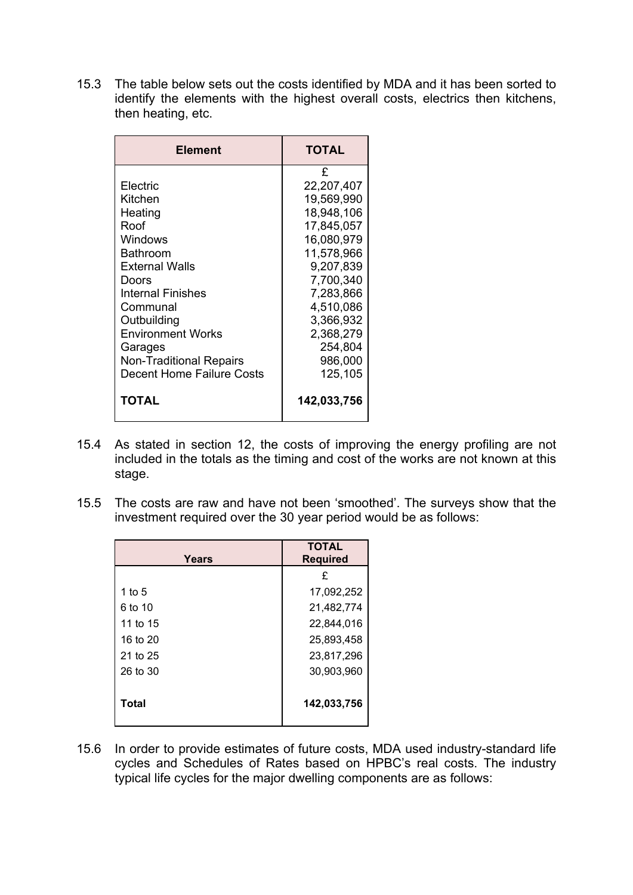15.3 The table below sets out the costs identified by MDA and it has been sorted to identify the elements with the highest overall costs, electrics then kitchens, then heating, etc.

| £<br>Electric<br>22,207,407<br>19,569,990<br>Kitchen<br>18,948,106<br>Heating<br>Roof<br>17,845,057<br>16,080,979<br>Windows<br>Bathroom<br>11,578,966<br><b>External Walls</b><br>9,207,839<br>7,700,340<br>Doors<br>7,283,866<br>Internal Finishes<br>4,510,086<br>Communal<br>3,366,932<br>Outbuilding |
|-----------------------------------------------------------------------------------------------------------------------------------------------------------------------------------------------------------------------------------------------------------------------------------------------------------|
| <b>Environment Works</b><br>2,368,279<br>254,804                                                                                                                                                                                                                                                          |
| Garages<br>986,000<br><b>Non-Traditional Repairs</b><br><b>Decent Home Failure Costs</b><br>125,105                                                                                                                                                                                                       |
| TOTAL<br>142,033,756                                                                                                                                                                                                                                                                                      |

- 15.4 As stated in section 12, the costs of improving the energy profiling are not included in the totals as the timing and cost of the works are not known at this stage.
- 15.5 The costs are raw and have not been 'smoothed'. The surveys show that the investment required over the 30 year period would be as follows:

| Years    | <b>TOTAL</b><br><b>Required</b> |
|----------|---------------------------------|
|          | £                               |
| 1 to 5   | 17,092,252                      |
| 6 to 10  | 21,482,774                      |
| 11 to 15 | 22,844,016                      |
| 16 to 20 | 25,893,458                      |
| 21 to 25 | 23,817,296                      |
| 26 to 30 | 30,903,960                      |
| Total    | 142,033,756                     |

15.6 In order to provide estimates of future costs, MDA used industry-standard life cycles and Schedules of Rates based on HPBC's real costs. The industry typical life cycles for the major dwelling components are as follows: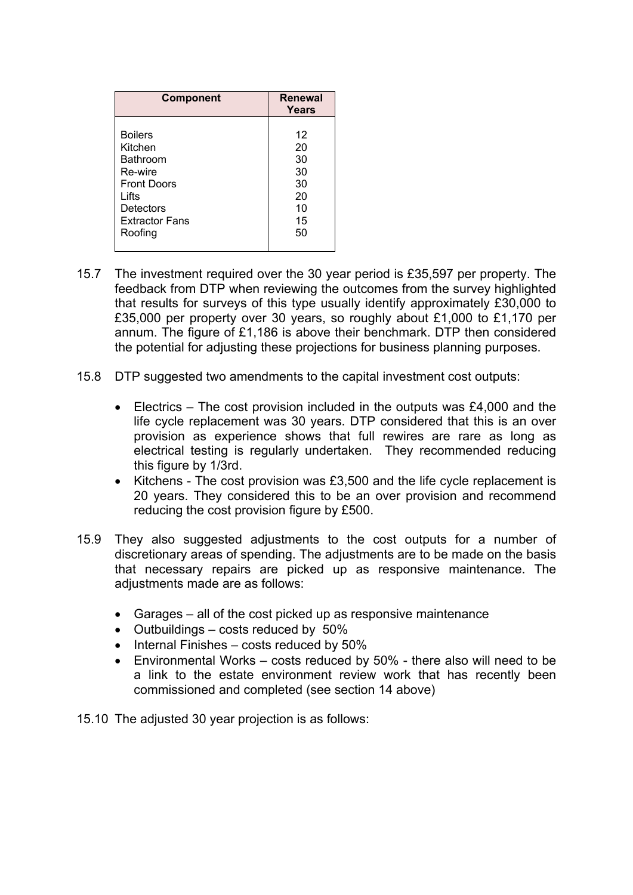| <b>Component</b>      | <b>Renewal</b><br>Years |
|-----------------------|-------------------------|
| <b>Boilers</b>        | 12                      |
| Kitchen               | 20                      |
| <b>Bathroom</b>       | 30                      |
| Re-wire               | 30                      |
| <b>Front Doors</b>    | 30                      |
| Lifts                 | 20                      |
| Detectors             | 10                      |
| <b>Extractor Fans</b> | 15                      |
| Roofing               | 50                      |

- 15.7 The investment required over the 30 year period is £35,597 per property. The feedback from DTP when reviewing the outcomes from the survey highlighted that results for surveys of this type usually identify approximately £30,000 to £35,000 per property over 30 years, so roughly about £1,000 to £1,170 per annum. The figure of £1,186 is above their benchmark. DTP then considered the potential for adjusting these projections for business planning purposes.
- 15.8 DTP suggested two amendments to the capital investment cost outputs:
	- Electrics The cost provision included in the outputs was £4,000 and the life cycle replacement was 30 years. DTP considered that this is an over provision as experience shows that full rewires are rare as long as electrical testing is regularly undertaken. They recommended reducing this figure by 1/3rd.
	- Kitchens The cost provision was £3,500 and the life cycle replacement is 20 years. They considered this to be an over provision and recommend reducing the cost provision figure by £500.
- 15.9 They also suggested adjustments to the cost outputs for a number of discretionary areas of spending. The adjustments are to be made on the basis that necessary repairs are picked up as responsive maintenance. The adjustments made are as follows:
	- Garages all of the cost picked up as responsive maintenance
	- $\bullet$  Outbuildings costs reduced by 50%
	- $\bullet$  Internal Finishes costs reduced by 50%
	- Environmental Works costs reduced by 50% there also will need to be a link to the estate environment review work that has recently been commissioned and completed (see section 14 above)
- 15.10 The adjusted 30 year projection is as follows: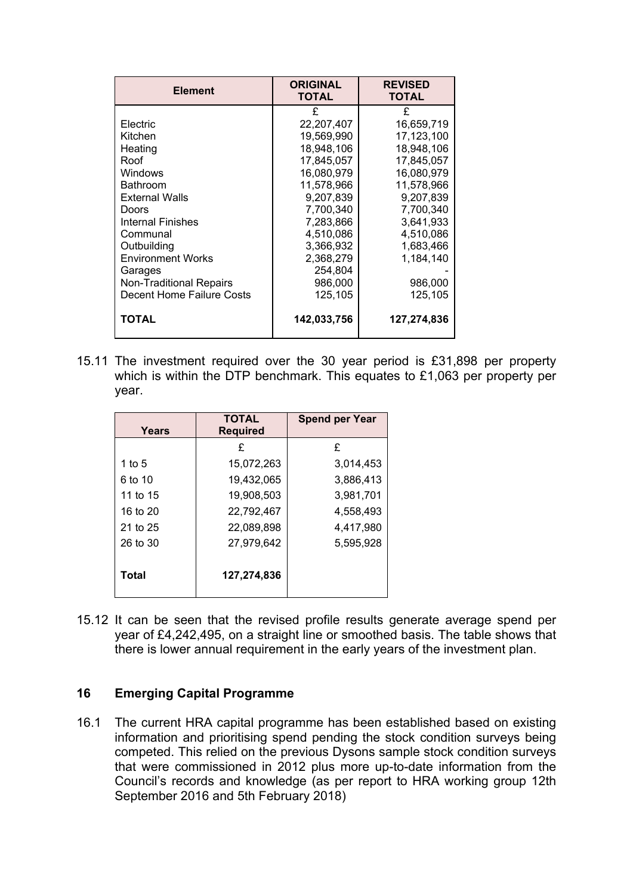| <b>Element</b>            | <b>ORIGINAL</b><br><b>TOTAL</b> | <b>REVISED</b><br><b>TOTAL</b> |
|---------------------------|---------------------------------|--------------------------------|
|                           | £                               | £                              |
| Electric                  | 22,207,407                      | 16.659.719                     |
| Kitchen                   | 19,569,990                      | 17,123,100                     |
| Heating                   | 18,948,106                      | 18,948,106                     |
| Roof                      | 17,845,057                      | 17,845,057                     |
| Windows                   | 16,080,979                      | 16,080,979                     |
| Bathroom                  | 11,578,966                      | 11,578,966                     |
| <b>External Walls</b>     | 9,207,839                       | 9,207,839                      |
| Doors                     | 7,700,340                       | 7,700,340                      |
| Internal Finishes         | 7,283,866                       | 3,641,933                      |
| Communal                  | 4,510,086                       | 4,510,086                      |
| Outbuilding               | 3,366,932                       | 1,683,466                      |
| <b>Environment Works</b>  | 2,368,279                       | 1,184,140                      |
| Garages                   | 254,804                         |                                |
| Non-Traditional Repairs   | 986,000                         | 986,000                        |
| Decent Home Failure Costs | 125,105                         | 125,105                        |
| TOTAL                     | 142,033,756                     | 127,274,836                    |

15.11 The investment required over the 30 year period is £31,898 per property which is within the DTP benchmark. This equates to £1,063 per property per year.

| Years    | <b>TOTAL</b><br><b>Required</b> | <b>Spend per Year</b> |
|----------|---------------------------------|-----------------------|
|          | £                               | £                     |
| 1 to 5   | 15,072,263                      | 3,014,453             |
| 6 to 10  | 19,432,065                      | 3,886,413             |
| 11 to 15 | 19,908,503                      | 3,981,701             |
| 16 to 20 | 22,792,467                      | 4,558,493             |
| 21 to 25 | 22,089,898                      | 4,417,980             |
| 26 to 30 | 27,979,642                      | 5,595,928             |
| Total    | 127,274,836                     |                       |

15.12 It can be seen that the revised profile results generate average spend per year of £4,242,495, on a straight line or smoothed basis. The table shows that there is lower annual requirement in the early years of the investment plan.

# **16 Emerging Capital Programme**

16.1 The current HRA capital programme has been established based on existing information and prioritising spend pending the stock condition surveys being competed. This relied on the previous Dysons sample stock condition surveys that were commissioned in 2012 plus more up-to-date information from the Council's records and knowledge (as per report to HRA working group 12th September 2016 and 5th February 2018)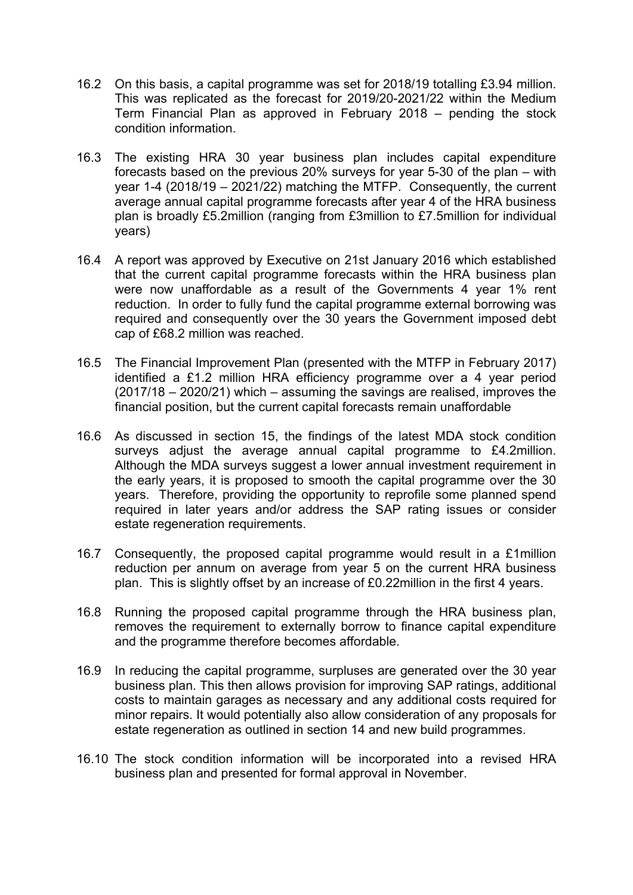- 16.2 On this basis, a capital programme was set for 2018/19 totalling £3.94 million. This was replicated as the forecast for 2019/20-2021/22 within the Medium Term Financial Plan as approved in February 2018 – pending the stock condition information.
- 16.3 The existing HRA 30 year business plan includes capital expenditure forecasts based on the previous 20% surveys for year 5-30 of the plan – with year 1-4 (2018/19 – 2021/22) matching the MTFP. Consequently, the current average annual capital programme forecasts after year 4 of the HRA business plan is broadly £5.2million (ranging from £3million to £7.5million for individual years)
- 16.4 A report was approved by Executive on 21st January 2016 which established that the current capital programme forecasts within the HRA business plan were now unaffordable as a result of the Governments 4 year 1% rent reduction. In order to fully fund the capital programme external borrowing was required and consequently over the 30 years the Government imposed debt cap of £68.2 million was reached.
- 16.5 The Financial Improvement Plan (presented with the MTFP in February 2017) identified a £1.2 million HRA efficiency programme over a 4 year period (2017/18 – 2020/21) which – assuming the savings are realised, improves the financial position, but the current capital forecasts remain unaffordable
- 16.6 As discussed in section 15, the findings of the latest MDA stock condition surveys adjust the average annual capital programme to £4.2million. Although the MDA surveys suggest a lower annual investment requirement in the early years, it is proposed to smooth the capital programme over the 30 years. Therefore, providing the opportunity to reprofile some planned spend required in later years and/or address the SAP rating issues or consider estate regeneration requirements.
- 16.7 Consequently, the proposed capital programme would result in a £1million reduction per annum on average from year 5 on the current HRA business plan. This is slightly offset by an increase of £0.22million in the first 4 years.
- 16.8 Running the proposed capital programme through the HRA business plan, removes the requirement to externally borrow to finance capital expenditure and the programme therefore becomes affordable.
- 16.9 In reducing the capital programme, surpluses are generated over the 30 year business plan. This then allows provision for improving SAP ratings, additional costs to maintain garages as necessary and any additional costs required for minor repairs. It would potentially also allow consideration of any proposals for estate regeneration as outlined in section 14 and new build programmes.
- 16.10 The stock condition information will be incorporated into a revised HRA business plan and presented for formal approval in November.